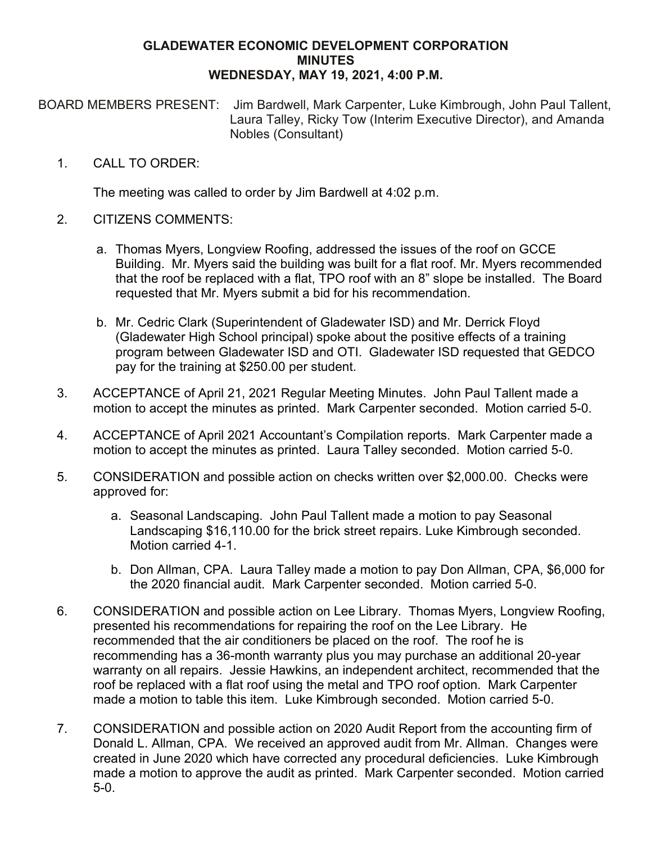## **GLADEWATER ECONOMIC DEVELOPMENT CORPORATION MINUTES WEDNESDAY, MAY 19, 2021, 4:00 P.M.**

BOARD MEMBERS PRESENT: Jim Bardwell, Mark Carpenter, Luke Kimbrough, John Paul Tallent, Laura Talley, Ricky Tow (Interim Executive Director), and Amanda Nobles (Consultant)

## 1. CALL TO ORDER:

The meeting was called to order by Jim Bardwell at 4:02 p.m.

## 2. CITIZENS COMMENTS:

- a. Thomas Myers, Longview Roofing, addressed the issues of the roof on GCCE Building. Mr. Myers said the building was built for a flat roof. Mr. Myers recommended that the roof be replaced with a flat, TPO roof with an 8" slope be installed. The Board requested that Mr. Myers submit a bid for his recommendation.
- b. Mr. Cedric Clark (Superintendent of Gladewater ISD) and Mr. Derrick Floyd (Gladewater High School principal) spoke about the positive effects of a training program between Gladewater ISD and OTI. Gladewater ISD requested that GEDCO pay for the training at \$250.00 per student.
- 3. ACCEPTANCE of April 21, 2021 Regular Meeting Minutes. John Paul Tallent made a motion to accept the minutes as printed. Mark Carpenter seconded. Motion carried 5-0.
- 4. ACCEPTANCE of April 2021 Accountant's Compilation reports. Mark Carpenter made a motion to accept the minutes as printed. Laura Talley seconded. Motion carried 5-0.
- 5. CONSIDERATION and possible action on checks written over \$2,000.00. Checks were approved for:
	- a. Seasonal Landscaping. John Paul Tallent made a motion to pay Seasonal Landscaping \$16,110.00 for the brick street repairs. Luke Kimbrough seconded. Motion carried 4-1.
	- b. Don Allman, CPA. Laura Talley made a motion to pay Don Allman, CPA, \$6,000 for the 2020 financial audit. Mark Carpenter seconded. Motion carried 5-0.
- 6. CONSIDERATION and possible action on Lee Library. Thomas Myers, Longview Roofing, presented his recommendations for repairing the roof on the Lee Library. He recommended that the air conditioners be placed on the roof. The roof he is recommending has a 36-month warranty plus you may purchase an additional 20-year warranty on all repairs. Jessie Hawkins, an independent architect, recommended that the roof be replaced with a flat roof using the metal and TPO roof option. Mark Carpenter made a motion to table this item. Luke Kimbrough seconded. Motion carried 5-0.
- 7. CONSIDERATION and possible action on 2020 Audit Report from the accounting firm of Donald L. Allman, CPA. We received an approved audit from Mr. Allman. Changes were created in June 2020 which have corrected any procedural deficiencies. Luke Kimbrough made a motion to approve the audit as printed. Mark Carpenter seconded. Motion carried 5-0.